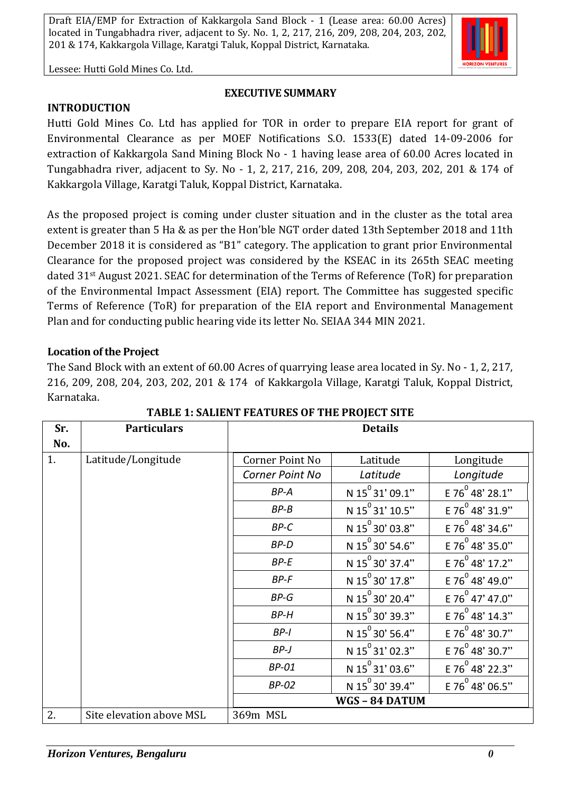Lessee: Hutti Gold Mines Co. Ltd.

#### **EXECUTIVE SUMMARY**

**INTRODUCTION**

Hutti Gold Mines Co. Ltd has applied for TOR in order to prepare EIA report for grant of Environmental Clearance as per MOEF Notifications S.O. 1533(E) dated 14-09-2006 for extraction of Kakkargola Sand Mining Block No - 1 having lease area of 60.00 Acres located in Tungabhadra river, adjacent to Sy. No - 1, 2, 217, 216, 209, 208, 204, 203, 202, 201 & 174 of Kakkargola Village, Karatgi Taluk, Koppal District, Karnataka.

As the proposed project is coming under cluster situation and in the cluster as the total area extent is greater than 5 Ha & as per the Hon'ble NGT order dated 13th September 2018 and 11th December 2018 it is considered as "B1" category. The application to grant prior Environmental Clearance for the proposed project was considered by the KSEAC in its 265th SEAC meeting dated 31st August 2021. SEAC for determination of the Terms of Reference (ToR) for preparation of the Environmental Impact Assessment (EIA) report. The Committee has suggested specific Terms of Reference (ToR) for preparation of the EIA report and Environmental Management Plan and for conducting public hearing vide its letter No. SEIAA 344 MIN 2021.

## **Location of the Project**

The Sand Block with an extent of 60.00 Acres of quarrying lease area located in Sy. No - 1, 2, 217, 216, 209, 208, 204, 203, 202, 201 & 174 of Kakkargola Village, Karatgi Taluk, Koppal District, Karnataka.

| Sr. | <b>Particulars</b>       | <b>Details</b>  |                             |                             |
|-----|--------------------------|-----------------|-----------------------------|-----------------------------|
| No. |                          |                 |                             |                             |
| 1.  | Latitude/Longitude       | Corner Point No | Latitude                    | Longitude                   |
|     |                          | Corner Point No | Latitude                    | Longitude                   |
|     |                          | BP-A            | N 15 <sup>°</sup> 31' 09.1" | E 76 <sup>0</sup> 48' 28.1" |
|     |                          | $BP-B$          | N 15 <sup>0</sup> 31' 10.5" | E 76 <sup>0</sup> 48' 31.9" |
|     |                          | $BP-C$          | N $15^{\circ}$ 30' 03.8"    | E 76 $^{0}$ 48' 34.6"       |
|     |                          | BP-D            | N 15 <sup>°</sup> 30' 54.6" | E 76 48' 35.0"              |
|     |                          | $BP-E$          | N 15 <sup>0</sup> 30' 37.4" | E 76 <sup>0</sup> 48' 17.2" |
|     |                          | BP-F            | N 15 <sup>0</sup> 30' 17.8" | E 76 <sup>0</sup> 48' 49.0" |
|     |                          | $BP-G$          | N 15 <sup>°</sup> 30' 20.4" | E 76 $^{0}$ 47' 47.0"       |
|     |                          | <b>BP-H</b>     | N 15 <sup>°</sup> 30' 39.3" | E 76 <sup>0</sup> 48' 14.3" |
|     |                          | $BP-I$          | N 15 <sup>°</sup> 30' 56.4" | E 76 <sup>0</sup> 48' 30.7" |
|     |                          | $BP-J$          | N $15^{\circ}31'$ 02.3"     | E 76 $^{0}$ 48' 30.7"       |
|     |                          | <b>BP-01</b>    | N $15^{\circ}31'$ 03.6"     | E 76 <sup>0</sup> 48' 22.3" |
|     |                          | <b>BP-02</b>    | N 15 <sup>°</sup> 30' 39.4" | E 76 48' 06.5"              |
|     |                          | WGS-84 DATUM    |                             |                             |
| 2.  | Site elevation above MSL | 369m MSL        |                             |                             |

### **TABLE 1: SALIENT FEATURES OF THE PROJECT SITE**

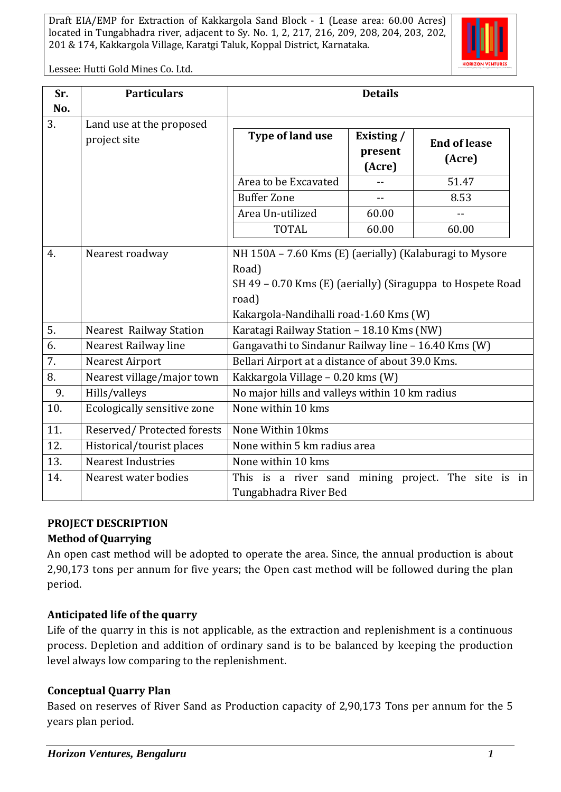

Lessee: Hutti Gold Mines Co. Ltd.

| Sr. | <b>Particulars</b>                       | <b>Details</b>                                                                                                                                                                    |                                 |                               |  |
|-----|------------------------------------------|-----------------------------------------------------------------------------------------------------------------------------------------------------------------------------------|---------------------------------|-------------------------------|--|
| No. |                                          |                                                                                                                                                                                   |                                 |                               |  |
| 3.  | Land use at the proposed<br>project site | Type of land use                                                                                                                                                                  | Existing /<br>present<br>(Acre) | <b>End of lease</b><br>(Acre) |  |
|     |                                          | Area to be Excavated                                                                                                                                                              |                                 | 51.47                         |  |
|     |                                          | <b>Buffer Zone</b>                                                                                                                                                                | $-$                             | 8.53                          |  |
|     |                                          | Area Un-utilized                                                                                                                                                                  | 60.00                           |                               |  |
|     |                                          | <b>TOTAL</b>                                                                                                                                                                      | 60.00                           | 60.00                         |  |
| 4.  | Nearest roadway                          | NH 150A – 7.60 Kms (E) (aerially) (Kalaburagi to Mysore<br>Road)<br>SH 49 - 0.70 Kms (E) (aerially) (Siraguppa to Hospete Road<br>road)<br>Kakargola-Nandihalli road-1.60 Kms (W) |                                 |                               |  |
| 5.  | <b>Nearest Railway Station</b>           | Karatagi Railway Station - 18.10 Kms (NW)                                                                                                                                         |                                 |                               |  |
| 6.  | Nearest Railway line                     | Gangavathi to Sindanur Railway line - 16.40 Kms (W)                                                                                                                               |                                 |                               |  |
| 7.  | <b>Nearest Airport</b>                   | Bellari Airport at a distance of about 39.0 Kms.                                                                                                                                  |                                 |                               |  |
| 8.  | Nearest village/major town               | Kakkargola Village - 0.20 kms (W)                                                                                                                                                 |                                 |                               |  |
| 9.  | Hills/valleys                            | No major hills and valleys within 10 km radius                                                                                                                                    |                                 |                               |  |
| 10. | Ecologically sensitive zone              | None within 10 kms                                                                                                                                                                |                                 |                               |  |
| 11. | Reserved/Protected forests               | None Within 10kms                                                                                                                                                                 |                                 |                               |  |
| 12. | Historical/tourist places                | None within 5 km radius area                                                                                                                                                      |                                 |                               |  |
| 13. | <b>Nearest Industries</b>                | None within 10 kms                                                                                                                                                                |                                 |                               |  |
| 14. | Nearest water bodies                     | This is a river sand mining project. The site is<br>in<br>Tungabhadra River Bed                                                                                                   |                                 |                               |  |

### **PROJECT DESCRIPTION**

### **Method of Quarrying**

An open cast method will be adopted to operate the area. Since, the annual production is about 2,90,173 tons per annum for five years; the Open cast method will be followed during the plan period.

# **Anticipated life of the quarry**

Life of the quarry in this is not applicable, as the extraction and replenishment is a continuous process. Depletion and addition of ordinary sand is to be balanced by keeping the production level always low comparing to the replenishment.

### **Conceptual Quarry Plan**

Based on reserves of River Sand as Production capacity of 2,90,173 Tons per annum for the 5 years plan period.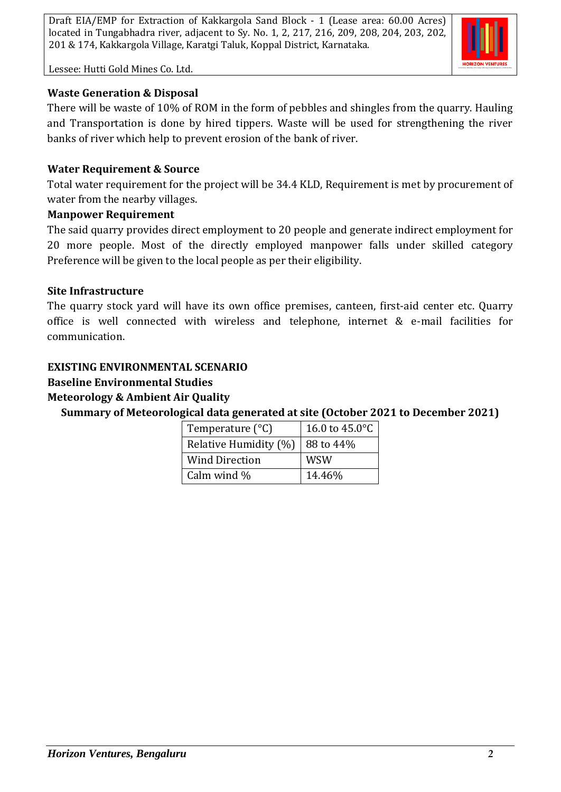

Lessee: Hutti Gold Mines Co. Ltd.

## **Waste Generation & Disposal**

There will be waste of 10% of ROM in the form of pebbles and shingles from the quarry. Hauling and Transportation is done by hired tippers. Waste will be used for strengthening the river banks of river which help to prevent erosion of the bank of river.

### **Water Requirement & Source**

Total water requirement for the project will be 34.4 KLD, Requirement is met by procurement of water from the nearby villages.

### **Manpower Requirement**

The said quarry provides direct employment to 20 people and generate indirect employment for 20 more people. Most of the directly employed manpower falls under skilled category Preference will be given to the local people as per their eligibility.

#### **Site Infrastructure**

The quarry stock yard will have its own office premises, canteen, first-aid center etc. Quarry office is well connected with wireless and telephone, internet & e-mail facilities for communication.

### **EXISTING ENVIRONMENTAL SCENARIO**

### **Baseline Environmental Studies**

### **Meteorology & Ambient Air Quality**

**Summary of Meteorological data generated at site (October 2021 to December 2021)**

| Temperature $(^{\circ}C)$ | 16.0 to 45.0°C |  |
|---------------------------|----------------|--|
| Relative Humidity (%)     | 88 to 44\%     |  |
| <b>Wind Direction</b>     | WSW            |  |
| Calm wind %               | 14.46%         |  |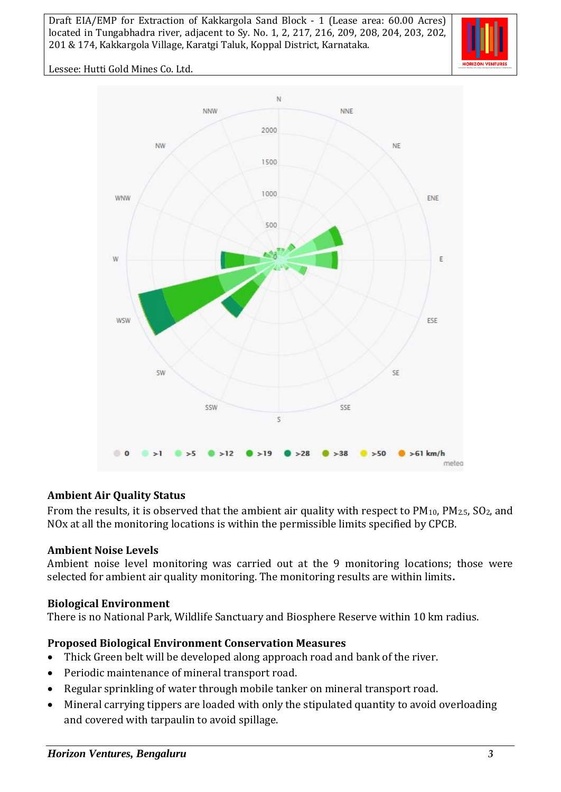

Lessee: Hutti Gold Mines Co. Ltd.



### **Ambient Air Quality Status**

From the results, it is observed that the ambient air quality with respect to  $PM_{10}$ ,  $PM_{2.5}$ ,  $SO_2$ , and NOx at all the monitoring locations is within the permissible limits specified by CPCB.

#### **Ambient Noise Levels**

Ambient noise level monitoring was carried out at the 9 monitoring locations; those were selected for ambient air quality monitoring. The monitoring results are within limits**.**

#### **Biological Environment**

There is no National Park, Wildlife Sanctuary and Biosphere Reserve within 10 km radius.

#### **Proposed Biological Environment Conservation Measures**

- Thick Green belt will be developed along approach road and bank of the river.
- Periodic maintenance of mineral transport road.
- Regular sprinkling of water through mobile tanker on mineral transport road.
- Mineral carrying tippers are loaded with only the stipulated quantity to avoid overloading and covered with tarpaulin to avoid spillage.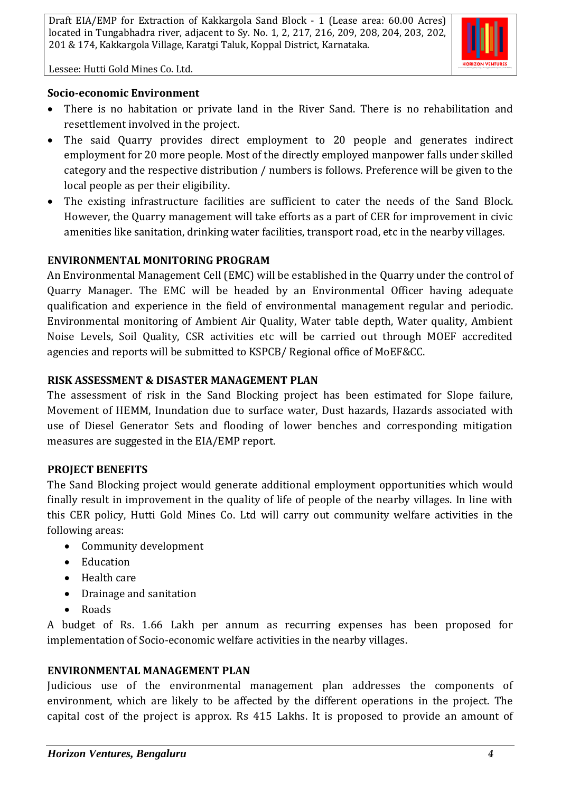

Lessee: Hutti Gold Mines Co. Ltd.

### **Socio-economic Environment**

- There is no habitation or private land in the River Sand. There is no rehabilitation and resettlement involved in the project.
- The said Quarry provides direct employment to 20 people and generates indirect employment for 20 more people. Most of the directly employed manpower falls under skilled category and the respective distribution / numbers is follows. Preference will be given to the local people as per their eligibility.
- The existing infrastructure facilities are sufficient to cater the needs of the Sand Block. However, the Quarry management will take efforts as a part of CER for improvement in civic amenities like sanitation, drinking water facilities, transport road, etc in the nearby villages.

## **ENVIRONMENTAL MONITORING PROGRAM**

An Environmental Management Cell (EMC) will be established in the Quarry under the control of Quarry Manager. The EMC will be headed by an Environmental Officer having adequate qualification and experience in the field of environmental management regular and periodic. Environmental monitoring of Ambient Air Quality, Water table depth, Water quality, Ambient Noise Levels, Soil Quality, CSR activities etc will be carried out through MOEF accredited agencies and reports will be submitted to KSPCB/ Regional office of MoEF&CC.

## **RISK ASSESSMENT & DISASTER MANAGEMENT PLAN**

The assessment of risk in the Sand Blocking project has been estimated for Slope failure, Movement of HEMM, Inundation due to surface water, Dust hazards, Hazards associated with use of Diesel Generator Sets and flooding of lower benches and corresponding mitigation measures are suggested in the EIA/EMP report.

# **PROJECT BENEFITS**

The Sand Blocking project would generate additional employment opportunities which would finally result in improvement in the quality of life of people of the nearby villages. In line with this CER policy, Hutti Gold Mines Co. Ltd will carry out community welfare activities in the following areas:

- Community development
- Education
- Health care
- Drainage and sanitation
- Roads

A budget of Rs. 1.66 Lakh per annum as recurring expenses has been proposed for implementation of Socio-economic welfare activities in the nearby villages.

# **ENVIRONMENTAL MANAGEMENT PLAN**

Judicious use of the environmental management plan addresses the components of environment, which are likely to be affected by the different operations in the project. The capital cost of the project is approx. Rs 415 Lakhs. It is proposed to provide an amount of